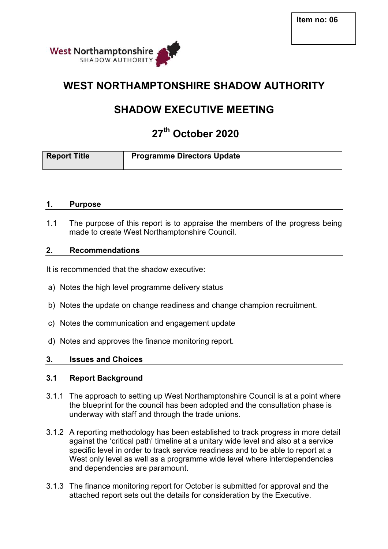

## **WEST NORTHAMPTONSHIRE SHADOW AUTHORITY**

# **SHADOW EXECUTIVE MEETING**

# **27th October 2020**

| <b>Report Title</b> | <b>Programme Directors Update</b> |
|---------------------|-----------------------------------|
|                     |                                   |

#### **1. Purpose**

1.1 The purpose of this report is to appraise the members of the progress being made to create West Northamptonshire Council.

#### **2. Recommendations**

It is recommended that the shadow executive:

- a) Notes the high level programme delivery status
- b) Notes the update on change readiness and change champion recruitment.
- c) Notes the communication and engagement update
- d) Notes and approves the finance monitoring report.

#### **3. Issues and Choices**

#### **3.1 Report Background**

- 3.1.1 The approach to setting up West Northamptonshire Council is at a point where the blueprint for the council has been adopted and the consultation phase is underway with staff and through the trade unions.
- 3.1.2 A reporting methodology has been established to track progress in more detail against the 'critical path' timeline at a unitary wide level and also at a service specific level in order to track service readiness and to be able to report at a West only level as well as a programme wide level where interdependencies and dependencies are paramount.
- 3.1.3 The finance monitoring report for October is submitted for approval and the attached report sets out the details for consideration by the Executive.